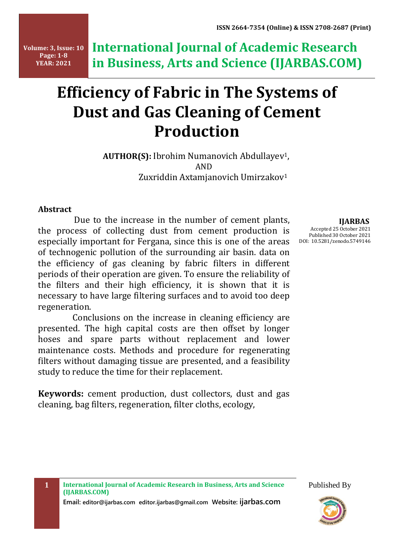**Volume: 3, Issue: 10 Page: 1-8 YEAR: 2021**

**International Journal of Academic Research in Business, Arts and Science (IJARBAS.COM)**

# **Efficiency of Fabric in The Systems of Dust and Gas Cleaning of Cement Production**

 **AUTHOR(S):** Ibrohim Numanovich Abdullayev1, AND Zuxriddin Axtamjanovich Umirzakov<sup>1</sup>

#### **Abstract**

Due to the increase in the number of cement plants, the process of collecting dust from cement production is especially important for Fergana, since this is one of the areas of technogenic pollution of the surrounding air basin. data on the efficiency of gas cleaning by fabric filters in different periods of their operation are given. To ensure the reliability of the filters and their high efficiency, it is shown that it is necessary to have large filtering surfaces and to avoid too deep regeneration.

 Conclusions on the increase in cleaning efficiency are presented. The high capital costs are then offset by longer hoses and spare parts without replacement and lower maintenance costs. Methods and procedure for regenerating filters without damaging tissue are presented, and a feasibility study to reduce the time for their replacement.

**Keywords:** cement production, dust collectors, dust and gas cleaning, bag filters, regeneration, filter cloths, ecology,

 **IJARBAS** Accepted 25 October 2021 Published 30 October 2021 DOI: 10.5281/zenodo.5749146

**Email: editor@ijarbas.com editor.ijarbas@gmail.com Website: ijarbas.com** 



Published By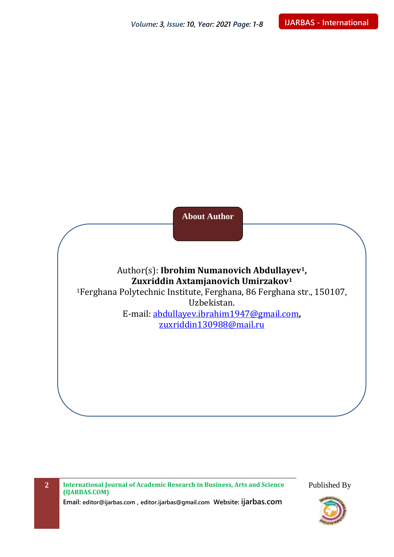**About Author**

## Author(s): **Ibrohim Numanovich Abdullayev1, Zuxriddin Axtamjanovich Umirzakov<sup>1</sup>**

<sup>1</sup>Ferghana Polytechnic Institute, Ferghana, 86 Ferghana str., 150107, Uzbekistan.

E-mail: [abdullayev.ibrahim1947@gmail.com](mailto:abdullayev.ibrahim1947@gmail.com)**,** [zuxriddin130988@mail.ru](mailto:zuxriddin130988@mail.ru)

**2 International Journal of Academic Research in Business, Arts and Science (IJARBAS.COM) Email: editor@ijarbas.com , editor.ijarbas@gmail.com Website: ijarbas.com** Published By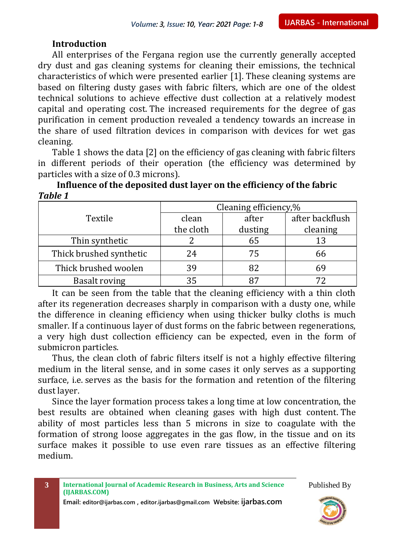#### **Introduction**

All enterprises of the Fergana region use the currently generally accepted dry dust and gas cleaning systems for cleaning their emissions, the technical characteristics of which were presented earlier [1]. These cleaning systems are based on filtering dusty gases with fabric filters, which are one of the oldest technical solutions to achieve effective dust collection at a relatively modest capital and operating cost. The increased requirements for the degree of gas purification in cement production revealed a tendency towards an increase in the share of used filtration devices in comparison with devices for wet gas cleaning.

Table 1 shows the data [2] on the efficiency of gas cleaning with fabric filters in different periods of their operation (the efficiency was determined by particles with a size of 0.3 microns).

| TUDIC T                 |                       |         |                 |  |
|-------------------------|-----------------------|---------|-----------------|--|
|                         | Cleaning efficiency,% |         |                 |  |
| Textile                 | clean                 | after   | after backflush |  |
|                         | the cloth             | dusting | cleaning        |  |
| Thin synthetic          |                       | 65      | 13              |  |
| Thick brushed synthetic | 24                    | 75      | 66              |  |
| Thick brushed woolen    | 39                    | 82      | 69              |  |
| <b>Basalt roving</b>    | 35                    |         |                 |  |

**Influence of the deposited dust layer on the efficiency of the fabric** *Table 1*

It can be seen from the table that the cleaning efficiency with a thin cloth after its regeneration decreases sharply in comparison with a dusty one, while the difference in cleaning efficiency when using thicker bulky cloths is much smaller. If a continuous layer of dust forms on the fabric between regenerations, a very high dust collection efficiency can be expected, even in the form of submicron particles.

Thus, the clean cloth of fabric filters itself is not a highly effective filtering medium in the literal sense, and in some cases it only serves as a supporting surface, i.e. serves as the basis for the formation and retention of the filtering dust layer.

Since the layer formation process takes a long time at low concentration, the best results are obtained when cleaning gases with high dust content. The ability of most particles less than 5 microns in size to coagulate with the formation of strong loose aggregates in the gas flow, in the tissue and on its surface makes it possible to use even rare tissues as an effective filtering medium.



**Email: editor@ijarbas.com , editor.ijarbas@gmail.com Website: ijarbas.com**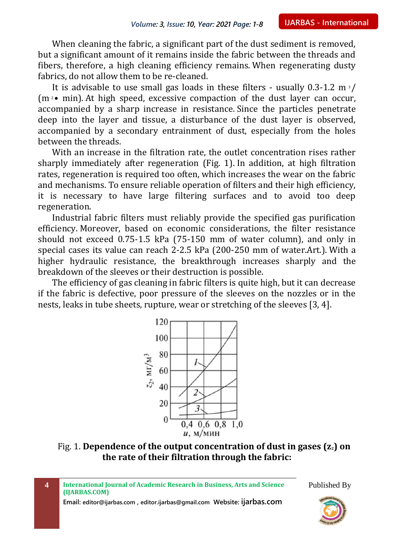When cleaning the fabric, a significant part of the dust sediment is removed, but a significant amount of it remains inside the fabric between the threads and fibers, therefore, a high cleaning efficiency remains. When regenerating dusty fabrics, do not allow them to be re-cleaned.

It is advisable to use small gas loads in these filters - usually  $0.3$ -1.2 m<sup>3</sup>/  $(m<sup>2</sup>$  • min). At high speed, excessive compaction of the dust layer can occur, accompanied by a sharp increase in resistance. Since the particles penetrate deep into the layer and tissue, a disturbance of the dust layer is observed, accompanied by a secondary entrainment of dust, especially from the holes between the threads.

With an increase in the filtration rate, the outlet concentration rises rather sharply immediately after regeneration (Fig. 1). In addition, at high filtration rates, regeneration is required too often, which increases the wear on the fabric and mechanisms. To ensure reliable operation of filters and their high efficiency, it is necessary to have large filtering surfaces and to avoid too deep regeneration.

Industrial fabric filters must reliably provide the specified gas purification efficiency. Moreover, based on economic considerations, the filter resistance should not exceed 0.75-1.5 kPa (75-150 mm of water column), and only in special cases its value can reach 2-2.5 kPa (200-250 mm of water.Art.). With a higher hydraulic resistance, the breakthrough increases sharply and the breakdown of the sleeves or their destruction is possible.

The efficiency of gas cleaning in fabric filters is quite high, but it can decrease if the fabric is defective, poor pressure of the sleeves on the nozzles or in the nests, leaks in tube sheets, rupture, wear or stretching of the sleeves [3, 4].



Fig. 1. **Dependence of the output concentration of dust in gases (z2) on the rate of their filtration through the fabric:**

| International Journal of Academic Research in Business, Arts and Science<br>(IJARBAS.COM) | Published By                  |
|-------------------------------------------------------------------------------------------|-------------------------------|
| Email: editor@ijarbas.com, editor.ijarbas@gmail.com Website: ijarbas.com                  | International Journal of Con- |

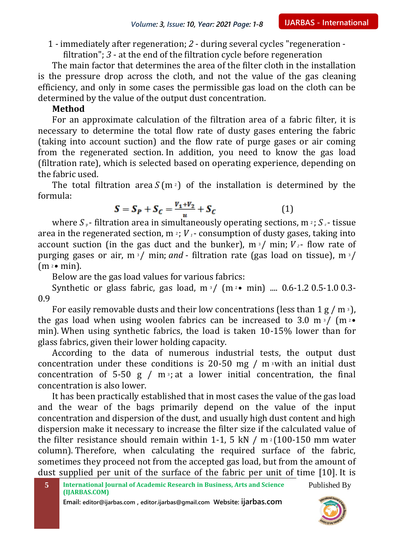1 - immediately after regeneration; *2* - during several cycles "regeneration filtration"; *3* - at the end of the filtration cycle before regeneration

The main factor that determines the area of the filter cloth in the installation is the pressure drop across the cloth, and not the value of the gas cleaning efficiency, and only in some cases the permissible gas load on the cloth can be determined by the value of the output dust concentration.

#### **Method**

For an approximate calculation of the filtration area of a fabric filter, it is necessary to determine the total flow rate of dusty gases entering the fabric (taking into account suction) and the flow rate of purge gases or air coming from the regenerated section. In addition, you need to know the gas load (filtration rate), which is selected based on operating experience, depending on the fabric used.

The total filtration area  $S(m<sub>2</sub>)$  of the installation is determined by the formula:

$$
S = S_P + S_C = \frac{V_1 + V_2}{u} + S_C \tag{1}
$$

where  $S_p$ - filtration area in simultaneously operating sections, m<sup>2</sup>;  $S_c$ - tissue area in the regenerated section,  $m \times i$  *v*<sub>1</sub> - consumption of dusty gases, taking into account suction (in the gas duct and the bunker),  $m \frac{3}{2}$  min;  $V_{2}$ - flow rate of purging gases or air, m<sup>3</sup>/ min; and - filtration rate (gas load on tissue), m<sup>3</sup>/  $(m \cdot \bullet min)$ .

Below are the gas load values for various fabrics:

Synthetic or glass fabric, gas load,  $m \frac{3}{2}$  ( $m \frac{2}{3}$   $m \frac{1}{2}$ ) ... 0.6-1.2 0.5-1.0 0.3-0.9

For easily removable dusts and their low concentrations (less than  $1 g/m<sup>3</sup>$ ), the gas load when using woolen fabrics can be increased to 3.0 m<sup>3</sup>/ (m<sup>2</sup> $\bullet$ ) min). When using synthetic fabrics, the load is taken 10-15% lower than for glass fabrics, given their lower holding capacity.

According to the data of numerous industrial tests, the output dust concentration under these conditions is 20-50 mg /  $m \times 1$  an initial dust concentration of 5-50 g /  $m<sup>3</sup>$ ; at a lower initial concentration, the final concentration is also lower.

It has been practically established that in most cases the value of the gas load and the wear of the bags primarily depend on the value of the input concentration and dispersion of the dust, and usually high dust content and high dispersion make it necessary to increase the filter size if the calculated value of the filter resistance should remain within 1-1, 5 kN / m  $2(100-150$  mm water column). Therefore, when calculating the required surface of the fabric, sometimes they proceed not from the accepted gas load, but from the amount of dust supplied per unit of the surface of the fabric per unit of time [10]. It is

**Email: editor@ijarbas.com , editor.ijarbas@gmail.com Website: ijarbas.com**

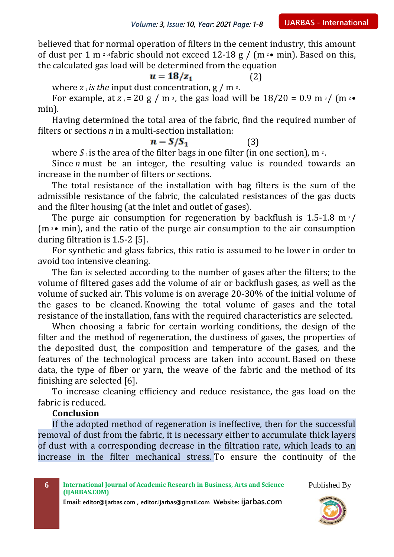believed that for normal operation of filters in the cement industry, this amount of dust per 1 m <sup>2</sup> of fabric should not exceed 12-18 g / (m <sup>2</sup> • min). Based on this, the calculated gas load will be determined from the equation

$$
u = 18/z_1 \tag{2}
$$

where  $z_i$  *is the* input dust concentration,  $g / m$ <sup>3</sup>.

For example, at  $z_1 = 20$  g / m<sup>3</sup>, the gas load will be  $18/20 = 0.9$  m<sup>3</sup>/ (m<sup>2</sup>• min).

Having determined the total area of the fabric, find the required number of filters or sections *n* in a multi-section installation:

 $n = S/S_1$  (3)

where  $S_1$  is the area of the filter bags in one filter (in one section), m<sup>2</sup>.

Since *n* must be an integer, the resulting value is rounded towards an increase in the number of filters or sections.

The total resistance of the installation with bag filters is the sum of the admissible resistance of the fabric, the calculated resistances of the gas ducts and the filter housing (at the inlet and outlet of gases).

The purge air consumption for regeneration by backflush is  $1.5$ -1.8 m<sup>3</sup>/  $(m \times m)$ , and the ratio of the purge air consumption to the air consumption during filtration is 1.5-2 [5].

For synthetic and glass fabrics, this ratio is assumed to be lower in order to avoid too intensive cleaning.

The fan is selected according to the number of gases after the filters; to the volume of filtered gases add the volume of air or backflush gases, as well as the volume of sucked air. This volume is on average 20-30% of the initial volume of the gases to be cleaned. Knowing the total volume of gases and the total resistance of the installation, fans with the required characteristics are selected.

When choosing a fabric for certain working conditions, the design of the filter and the method of regeneration, the dustiness of gases, the properties of the deposited dust, the composition and temperature of the gases, and the features of the technological process are taken into account. Based on these data, the type of fiber or yarn, the weave of the fabric and the method of its finishing are selected [6].

To increase cleaning efficiency and reduce resistance, the gas load on the fabric is reduced.

## **Conclusion**

If the adopted method of regeneration is ineffective, then for the successful removal of dust from the fabric, it is necessary either to accumulate thick layers of dust with a corresponding decrease in the filtration rate, which leads to an increase in the filter mechanical stress. To ensure the continuity of the

**6 International Journal of Academic Research in Business, Arts and Science (IJARBAS.COM)**

**Email: editor@ijarbas.com , editor.ijarbas@gmail.com Website: ijarbas.com**



Published By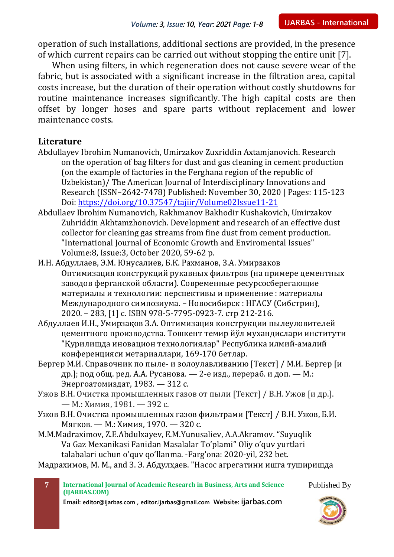operation of such installations, additional sections are provided, in the presence of which current repairs can be carried out without stopping the entire unit [7].

When using filters, in which regeneration does not cause severe wear of the fabric, but is associated with a significant increase in the filtration area, capital costs increase, but the duration of their operation without costly shutdowns for routine maintenance increases significantly. The high capital costs are then offset by longer hoses and spare parts without replacement and lower maintenance costs.

## **Literature**

- Abdullayev Ibrohim Numanovich, Umirzakov Zuxriddin Axtamjanovich. Research on the operation of bag filters for dust and gas cleaning in cement production (on the example of factories in the Ferghana region of the republic of Uzbekistan)/ The American Journal of Interdisciplinary Innovations and Research (ISSN–2642-7478) Published: November 30, 2020 | Pages: 115-123 Doi:<https://doi.org/10.37547/tajiir/Volume02Issue11-21>
- Abdullaev Ibrohim Numanovich, Rakhmanov Bakhodir Kushakovich, Umirzakov Zuhriddin Akhtamzhonovich. Development and research of an effective dust collector for cleaning gas streams from fine dust from cement production. "International Journal of Economic Growth and Enviromental Issues" Volume:8, Issue:3, October 2020, 59-62 p.
- И.Н. Абдуллаев, Э.М. Юнусалиев, Б.К. Рахманов, З.А. Умирзаков Оптимизация конструкций рукавных фильтров (на примере цементных заводов ферганской области). Современные ресурсосберегающие материалы и технологии: перспективы и применение : материалы Международного симпозиума. – Новосибирск : НГАСУ (Сибстрин), 2020. – 283, [1] с. ISBN 978-5-7795-0923-7. стр 212-216.
- Абдуллаев И.Н., Умирзақов З.А. Оптимизация конструкции пылеуловителей цементного производства. Тошкент темир йўл мухандислари институти "Қурилишда иновацион технологиялар" Республика илмий-амалий конференцияси метариаллари, 169-170 бетлар.
- Бергер М.И. Справочник по пыле- и золоулавливанию [Текст] / М.И. Бергер [и др.]; под общ. ред. А.А. Русанова. — 2-е изд., перераб. и доп. — М.: Энергоатомиздат, 1983. — 312 с.
- Ужов В.Н. Очистка промышленных газов от пыли [Текст] / В.Н. Ужов [и др.]. — М.: Химия, 1981. — 392 с.
- Ужов В.Н. Очистка промышленных газов фильтрами [Текст] / В.Н. Ужов, Б.И. Мягков. — М.: Химия, 1970. — 320 с.
- M.M.Madraximov, Z.E.Abdulxayev, E.M.Yunusaliev, A.A.Akramov. "Suyuqlik Va Gaz Mexanikasi Fanidan Masalalar To'plami" Oliy o'quv yurtlari talabalari uchun o'quv qo'llanma. -Farg'ona: 2020-yil, 232 bet.

Мадрахимов, М. М., and З. Э. Абдулҳаев. "Насос агрегатини ишга туширишда



Published By